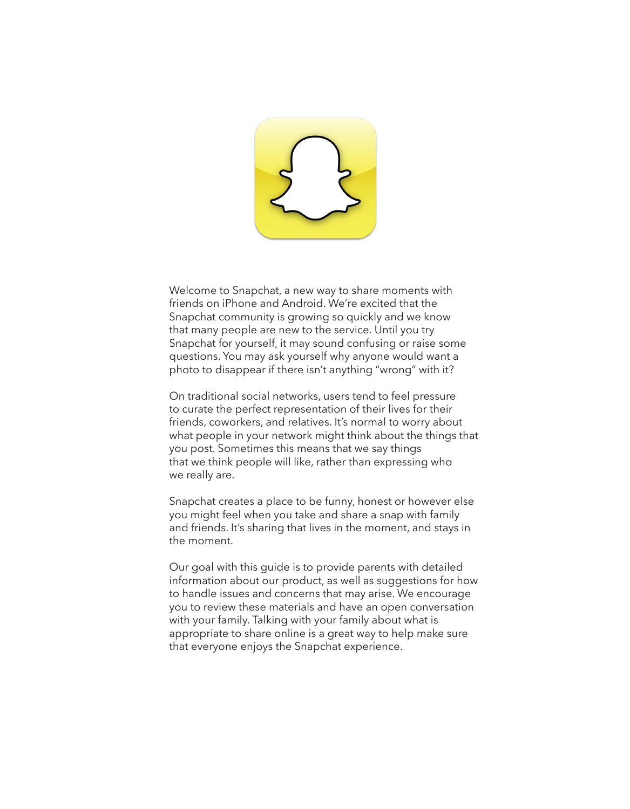

Welcome to Snapchat, a new way to share moments with friends on iPhone and Android. We're excited that the Snapchat community is growing so quickly and we know that many people are new to the service. Until you try Snapchat for yourself, it may sound confusing or raise some questions. You may ask yourself why anyone would want a photo to disappear if there isn't anything "wrong" with it?

On traditional social networks, users tend to feel pressure to curate the perfect representation of their lives for their friends, coworkers, and relatives. It's normal to worry about what people in your network might think about the things that you post. Sometimes this means that we say things that we think people will like, rather than expressing who we really are.

Snapchat creates a place to be funny, honest or however else you might feel when you take and share a snap with family and friends. It's sharing that lives in the moment, and stays in the moment.

Our goal with this guide is to provide parents with detailed information about our product, as well as suggestions for how to handle issues and concerns that may arise. We encourage you to review these materials and have an open conversation with your family. Talking with your family about what is appropriate to share online is a great way to help make sure that everyone enjoys the Snapchat experience.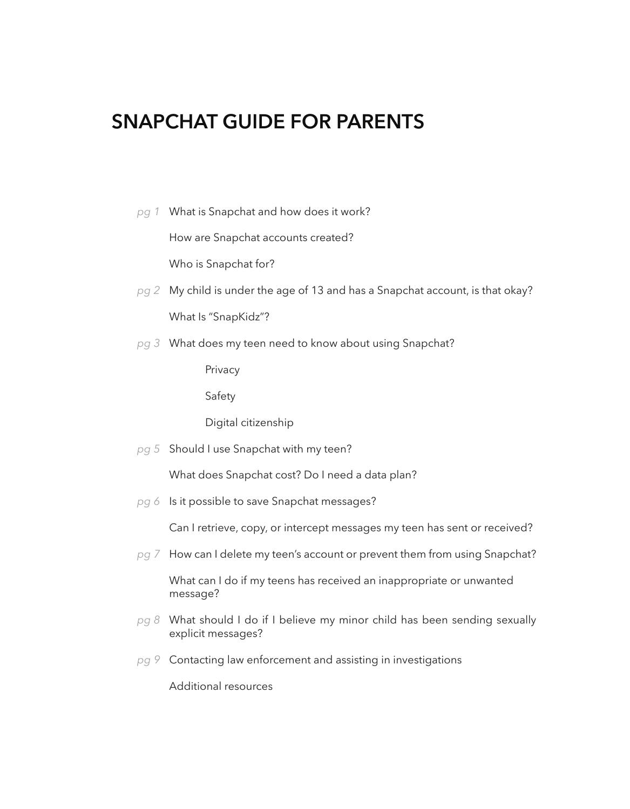# **SNAPCHAT GUIDE FOR PARENTS**

What is Snapchat and how does it work? *pg 1*

How are Snapchat accounts created?

Who is Snapchat for?

- My child is under the age of 13 and has a Snapchat account, is that okay? *pg 2* What Is "SnapKidz"?
- What does my teen need to know about using Snapchat? *pg 3*

Privacy

Safety

Digital citizenship

pg 5 Should I use Snapchat with my teen?

What does Snapchat cost? Do I need a data plan?

pg 6 Is it possible to save Snapchat messages?

Can I retrieve, copy, or intercept messages my teen has sent or received?

pg 7 How can I delete my teen's account or prevent them from using Snapchat?

What can I do if my teens has received an inappropriate or unwanted message?

- What should I do if I believe my minor child has been sending sexually *pg 8* explicit messages?
- Contacting law enforcement and assisting in investigations *pg 9*

Additional resources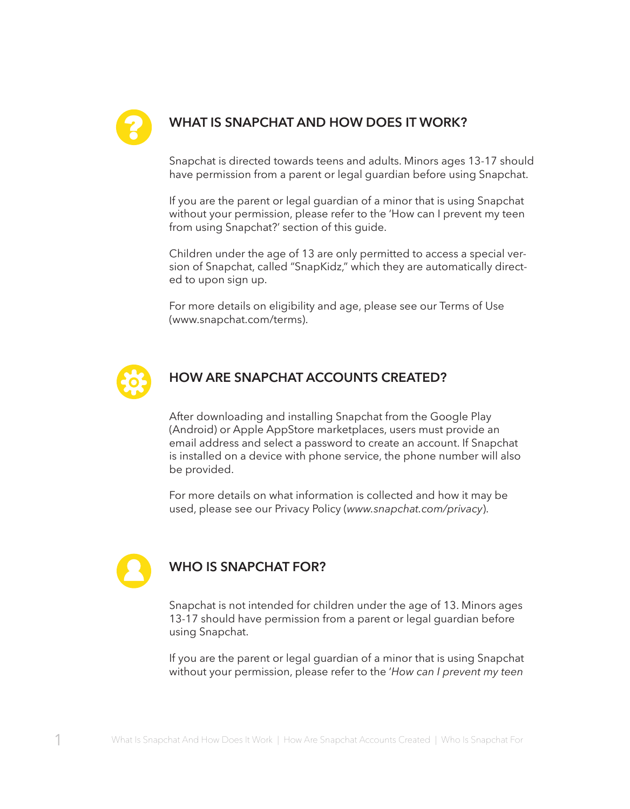

# **WHAT IS SNAPCHAT AND HOW DOES IT WORK?** ?

Snapchat is directed towards teens and adults. Minors ages 13-17 should have permission from a parent or legal guardian before using Snapchat.

If you are the parent or legal guardian of a minor that is using Snapchat without your permission, please refer to the 'How can I prevent my teen from using Snapchat?' section of this guide.

Children under the age of 13 are only permitted to access a special version of Snapchat, called "SnapKidz," which they are automatically directed to upon sign up.

For more details on eligibility and age, please see our Terms of Use (www.snapchat.com/terms).



## **HOW ARE SNAPCHAT ACCOUNTS CREATED?**

After downloading and installing Snapchat from the Google Play (Android) or Apple AppStore marketplaces, users must provide an email address and select a password to create an account. If Snapchat is installed on a device with phone service, the phone number will also be provided.

For more details on what information is collected and how it may be used, please see our Privacy Policy (*www.snapchat.com/privacy*).



### **WHO IS SNAPCHAT FOR?**

Snapchat is not intended for children under the age of 13. Minors ages 13-17 should have permission from a parent or legal guardian before using Snapchat.

If you are the parent or legal guardian of a minor that is using Snapchat without your permission, please refer to the '*How can I prevent my teen*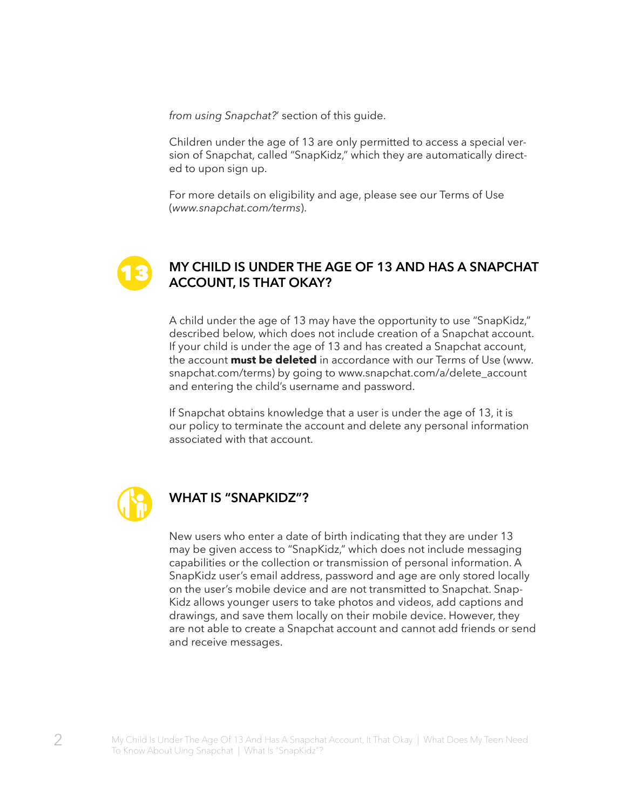*from using Snapchat?*' section of this guide.

Children under the age of 13 are only permitted to access a special version of Snapchat, called "SnapKidz," which they are automatically directed to upon sign up.

For more details on eligibility and age, please see our Terms of Use (*www.snapchat.com/terms*).



#### **MY CHILD IS UNDER THE AGE OF 13 AND HAS A SNAPCHAT ACCOUNT, IS THAT OKAY?**

A child under the age of 13 may have the opportunity to use "SnapKidz," described below, which does not include creation of a Snapchat account. If your child is under the age of 13 and has created a Snapchat account, the account **must be deleted** in accordance with our Terms of Use (www. snapchat.com/terms) by going to www.snapchat.com/a/delete\_account and entering the child's username and password.

If Snapchat obtains knowledge that a user is under the age of 13, it is our policy to terminate the account and delete any personal information associated with that account.



#### **WHAT IS "SNAPKIDZ"?**

New users who enter a date of birth indicating that they are under 13 may be given access to "SnapKidz," which does not include messaging capabilities or the collection or transmission of personal information. A SnapKidz user's email address, password and age are only stored locally on the user's mobile device and are not transmitted to Snapchat. Snap-Kidz allows younger users to take photos and videos, add captions and drawings, and save them locally on their mobile device. However, they are not able to create a Snapchat account and cannot add friends or send and receive messages.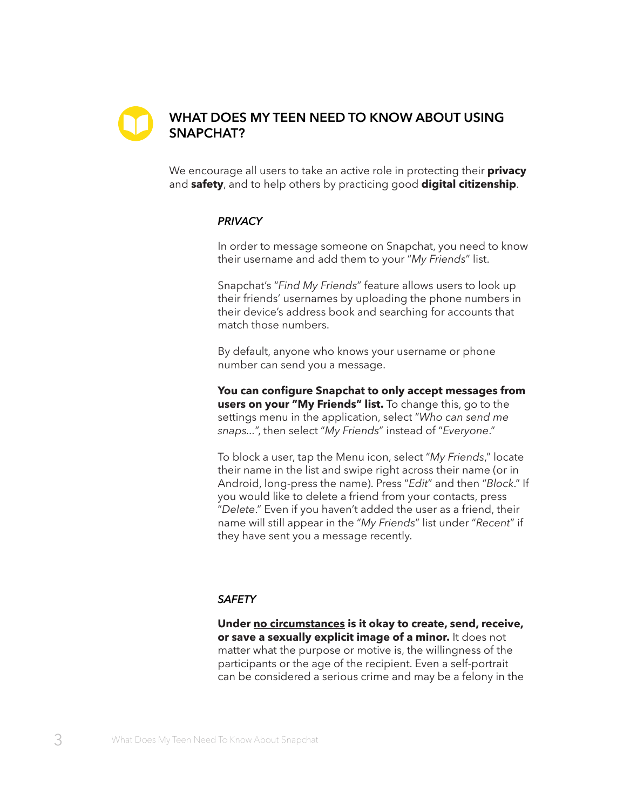

# **WHAT DOES MY TEEN NEED TO KNOW ABOUT USING SNAPCHAT?**

We encourage all users to take an active role in protecting their **privacy**  and **safety**, and to help others by practicing good **digital citizenship**.

#### *PRIVACY*

In order to message someone on Snapchat, you need to know their username and add them to your "*My Friends*" list.

Snapchat's "*Find My Friends*" feature allows users to look up their friends' usernames by uploading the phone numbers in their device's address book and searching for accounts that match those numbers.

By default, anyone who knows your username or phone number can send you a message.

**You can configure Snapchat to only accept messages from users on your "My Friends" list.** To change this, go to the settings menu in the application, select "*Who can send me snaps...*", then select "*My Friends*" instead of "*Everyone*."

To block a user, tap the Menu icon, select "*My Friends*," locate their name in the list and swipe right across their name (or in Android, long-press the name). Press "*Edit*" and then "*Block*." If you would like to delete a friend from your contacts, press "*Delete*." Even if you haven't added the user as a friend, their name will still appear in the "*My Friends*" list under "*Recent*" if they have sent you a message recently.

#### *SAFETY*

**Under no circumstances is it okay to create, send, receive, or save a sexually explicit image of a minor.** It does not matter what the purpose or motive is, the willingness of the participants or the age of the recipient. Even a self-portrait can be considered a serious crime and may be a felony in the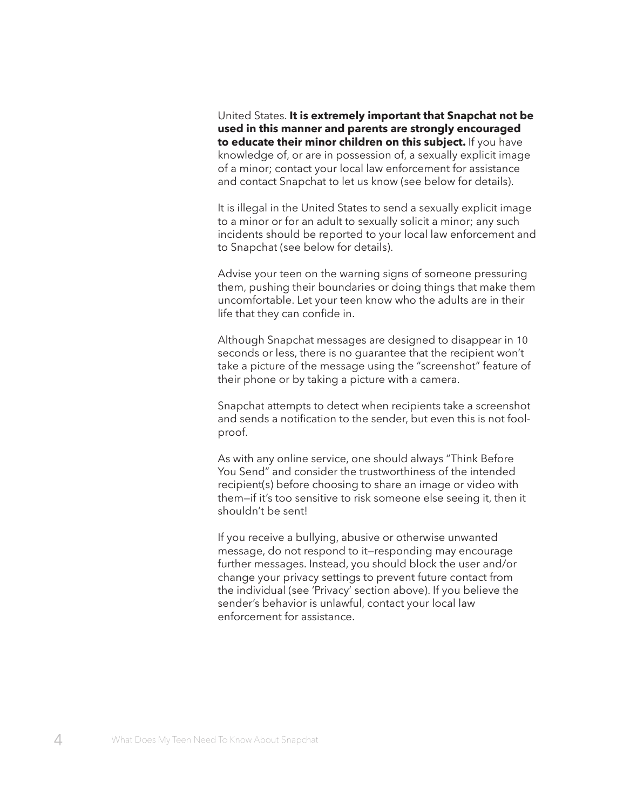United States. **It is extremely important that Snapchat not be used in this manner and parents are strongly encouraged to educate their minor children on this subject.** If you have knowledge of, or are in possession of, a sexually explicit image of a minor; contact your local law enforcement for assistance and contact Snapchat to let us know (see below for details).

It is illegal in the United States to send a sexually explicit image to a minor or for an adult to sexually solicit a minor; any such incidents should be reported to your local law enforcement and to Snapchat (see below for details).

Advise your teen on the warning signs of someone pressuring them, pushing their boundaries or doing things that make them uncomfortable. Let your teen know who the adults are in their life that they can confide in.

Although Snapchat messages are designed to disappear in 10 seconds or less, there is no guarantee that the recipient won't take a picture of the message using the "screenshot" feature of their phone or by taking a picture with a camera.

Snapchat attempts to detect when recipients take a screenshot and sends a notification to the sender, but even this is not foolproof.

As with any online service, one should always "Think Before You Send" and consider the trustworthiness of the intended recipient(s) before choosing to share an image or video with them—if it's too sensitive to risk someone else seeing it, then it shouldn't be sent!

If you receive a bullying, abusive or otherwise unwanted message, do not respond to it—responding may encourage further messages. Instead, you should block the user and/or change your privacy settings to prevent future contact from the individual (see 'Privacy' section above). If you believe the sender's behavior is unlawful, contact your local law enforcement for assistance.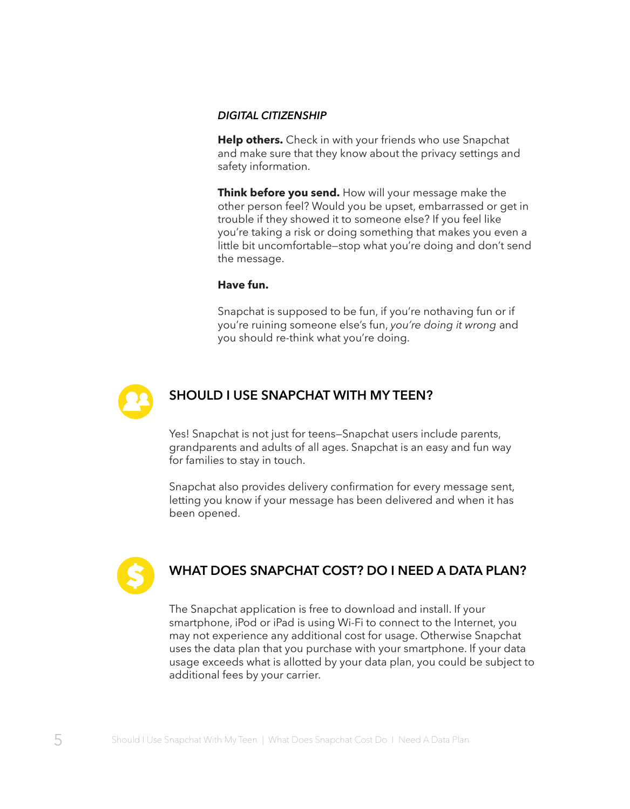#### *DIGITAL CITIZENSHIP*

**Help others.** Check in with your friends who use Snapchat and make sure that they know about the privacy settings and safety information.

**Think before you send.** How will your message make the other person feel? Would you be upset, embarrassed or get in trouble if they showed it to someone else? If you feel like you're taking a risk or doing something that makes you even a little bit uncomfortable—stop what you're doing and don't send the message.

#### **Have fun.**

Snapchat is supposed to be fun, if you're nothaving fun or if you're ruining someone else's fun, *you're doing it wrong* and you should re-think what you're doing.



#### **SHOULD I USE SNAPCHAT WITH MY TEEN?**

Yes! Snapchat is not just for teens—Snapchat users include parents, grandparents and adults of all ages. Snapchat is an easy and fun way for families to stay in touch.

Snapchat also provides delivery confirmation for every message sent, letting you know if your message has been delivered and when it has been opened.



# **WHAT DOES SNAPCHAT COST? DO I NEED A DATA PLAN?**

The Snapchat application is free to download and install. If your smartphone, iPod or iPad is using Wi-Fi to connect to the Internet, you may not experience any additional cost for usage. Otherwise Snapchat uses the data plan that you purchase with your smartphone. If your data usage exceeds what is allotted by your data plan, you could be subject to additional fees by your carrier.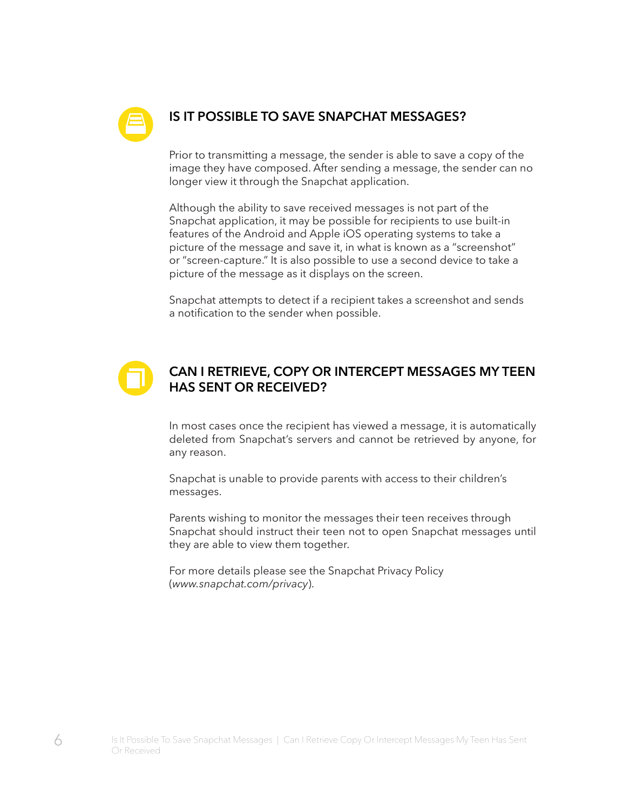

# **IS IT POSSIBLE TO SAVE SNAPCHAT MESSAGES?**

Prior to transmitting a message, the sender is able to save a copy of the image they have composed. After sending a message, the sender can no longer view it through the Snapchat application.

Although the ability to save received messages is not part of the Snapchat application, it may be possible for recipients to use built-in features of the Android and Apple iOS operating systems to take a picture of the message and save it, in what is known as a "screenshot" or "screen-capture." It is also possible to use a second device to take a picture of the message as it displays on the screen.

Snapchat attempts to detect if a recipient takes a screenshot and sends a notification to the sender when possible.

# **CAN I RETRIEVE, COPY OR INTERCEPT MESSAGES MY TEEN HAS SENT OR RECEIVED?**

In most cases once the recipient has viewed a message, it is automatically deleted from Snapchat's servers and cannot be retrieved by anyone, for any reason.

Snapchat is unable to provide parents with access to their children's messages.

Parents wishing to monitor the messages their teen receives through Snapchat should instruct their teen not to open Snapchat messages until they are able to view them together.

For more details please see the Snapchat Privacy Policy (*www.snapchat.com/privacy*).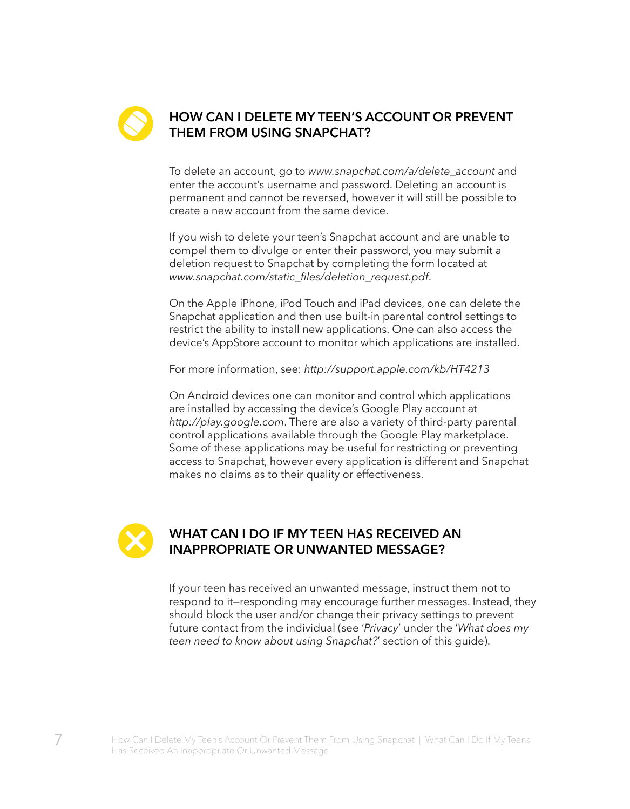

# **HOW CAN I DELETE MY TEEN'S ACCOUNT OR PREVENT THEM FROM USING SNAPCHAT?**

To delete an account, go to *www.snapchat.com/a/delete\_account* and enter the account's username and password. Deleting an account is permanent and cannot be reversed, however it will still be possible to create a new account from the same device.

If you wish to delete your teen's Snapchat account and are unable to compel them to divulge or enter their password, you may submit a deletion request to Snapchat by completing the form located at *www.snapchat.com/static\_files/deletion\_request.pdf*.

On the Apple iPhone, iPod Touch and iPad devices, one can delete the Snapchat application and then use built-in parental control settings to restrict the ability to install new applications. One can also access the device's AppStore account to monitor which applications are installed.

For more information, see: *http://support.apple.com/kb/HT4213*

On Android devices one can monitor and control which applications are installed by accessing the device's Google Play account at *http://play.google.com*. There are also a variety of third-party parental control applications available through the Google Play marketplace. Some of these applications may be useful for restricting or preventing access to Snapchat, however every application is different and Snapchat makes no claims as to their quality or effectiveness.



### **WHAT CAN I DO IF MY TEEN HAS RECEIVED AN INAPPROPRIATE OR UNWANTED MESSAGE?**

If your teen has received an unwanted message, instruct them not to respond to it—responding may encourage further messages. Instead, they should block the user and/or change their privacy settings to prevent future contact from the individual (see '*Privacy*' under the '*What does my teen need to know about using Snapchat?*' section of this guide).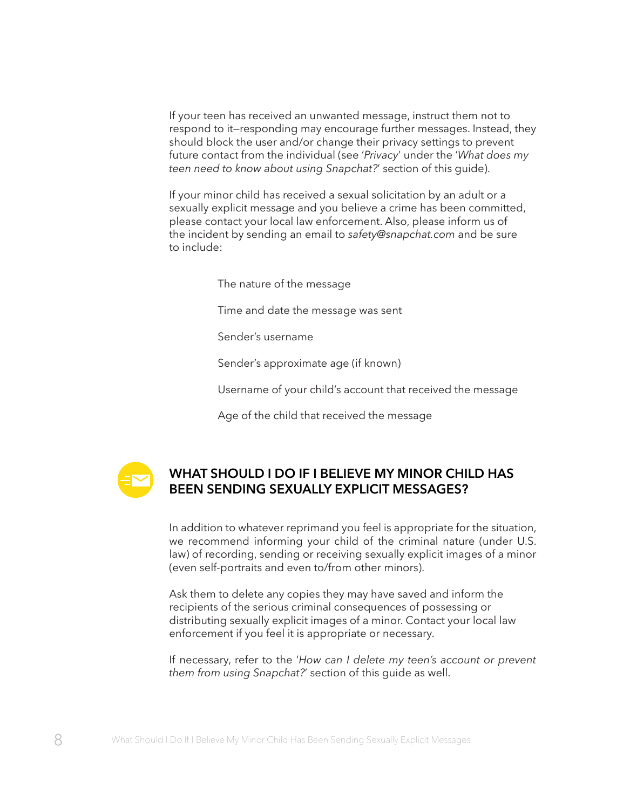If your teen has received an unwanted message, instruct them not to respond to it—responding may encourage further messages. Instead, they should block the user and/or change their privacy settings to prevent future contact from the individual (see '*Privacy*' under the '*What does my teen need to know about using Snapchat?*' section of this guide).

If your minor child has received a sexual solicitation by an adult or a sexually explicit message and you believe a crime has been committed, please contact your local law enforcement. Also, please inform us of the incident by sending an email to *safety@snapchat.com* and be sure to include:

The nature of the message

Time and date the message was sent

Sender's username

Sender's approximate age (if known)

Username of your child's account that received the message

Age of the child that received the message



## **WHAT SHOULD I DO IF I BELIEVE MY MINOR CHILD HAS BEEN SENDING SEXUALLY EXPLICIT MESSAGES?**

In addition to whatever reprimand you feel is appropriate for the situation, we recommend informing your child of the criminal nature (under U.S. law) of recording, sending or receiving sexually explicit images of a minor (even self-portraits and even to/from other minors).

Ask them to delete any copies they may have saved and inform the recipients of the serious criminal consequences of possessing or distributing sexually explicit images of a minor. Contact your local law enforcement if you feel it is appropriate or necessary.

If necessary, refer to the '*How can I delete my teen's account or prevent them from using Snapchat?*' section of this guide as well.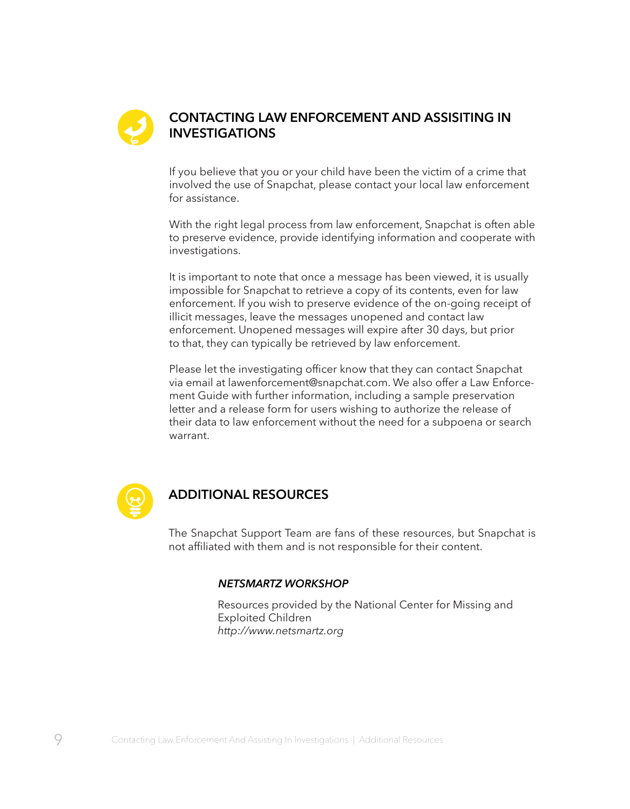

### **CONTACTING LAW ENFORCEMENT AND ASSISITING IN INVESTIGATIONS**

If you believe that you or your child have been the victim of a crime that involved the use of Snapchat, please contact your local law enforcement for assistance.

With the right legal process from law enforcement, Snapchat is often able to preserve evidence, provide identifying information and cooperate with investigations.

It is important to note that once a message has been viewed, it is usually impossible for Snapchat to retrieve a copy of its contents, even for law enforcement. If you wish to preserve evidence of the on-going receipt of illicit messages, leave the messages unopened and contact law enforcement. Unopened messages will expire after 30 days, but prior to that, they can typically be retrieved by law enforcement.

Please let the investigating officer know that they can contact Snapchat via email at lawenforcement@snapchat.com. We also offer a Law Enforcement Guide with further information, including a sample preservation letter and a release form for users wishing to authorize the release of their data to law enforcement without the need for a subpoena or search warrant.



#### **ADDITIONAL RESOURCES**

The Snapchat Support Team are fans of these resources, but Snapchat is not affiliated with them and is not responsible for their content.

#### *NETSMARTZ WORKSHOP*

Resources provided by the National Center for Missing and Exploited Children *http://www.netsmartz.org*